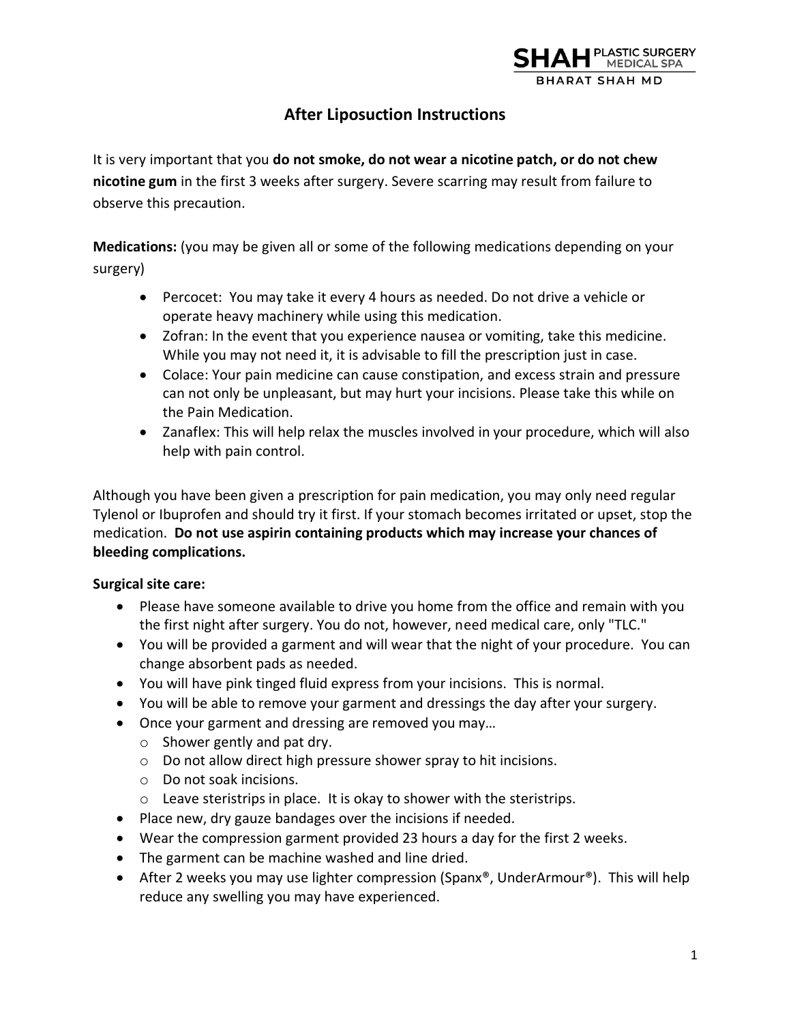

# **After Liposuction Instructions**

It is very important that you **do not smoke, do not wear a nicotine patch, or do not chew nicotine gum** in the first 3 weeks after surgery. Severe scarring may result from failure to observe this precaution.

**Medications:** (you may be given all or some of the following medications depending on your surgery)

- Percocet: You may take it every 4 hours as needed. Do not drive a vehicle or operate heavy machinery while using this medication.
- Zofran: In the event that you experience nausea or vomiting, take this medicine. While you may not need it, it is advisable to fill the prescription just in case.
- Colace: Your pain medicine can cause constipation, and excess strain and pressure can not only be unpleasant, but may hurt your incisions. Please take this while on the Pain Medication.
- Zanaflex: This will help relax the muscles involved in your procedure, which will also help with pain control.

Although you have been given a prescription for pain medication, you may only need regular Tylenol or Ibuprofen and should try it first. If your stomach becomes irritated or upset, stop the medication. **Do not use aspirin containing products which may increase your chances of bleeding complications.** 

## **Surgical site care:**

- Please have someone available to drive you home from the office and remain with you the first night after surgery. You do not, however, need medical care, only "TLC."
- You will be provided a garment and will wear that the night of your procedure. You can change absorbent pads as needed.
- You will have pink tinged fluid express from your incisions. This is normal.
- You will be able to remove your garment and dressings the day after your surgery.
- Once your garment and dressing are removed you may…
	- o Shower gently and pat dry.
	- o Do not allow direct high pressure shower spray to hit incisions.
	- o Do not soak incisions.
	- o Leave steristrips in place. It is okay to shower with the steristrips.
- Place new, dry gauze bandages over the incisions if needed.
- Wear the compression garment provided 23 hours a day for the first 2 weeks.
- The garment can be machine washed and line dried.
- After 2 weeks you may use lighter compression (Spanx®, UnderArmour®). This will help reduce any swelling you may have experienced.